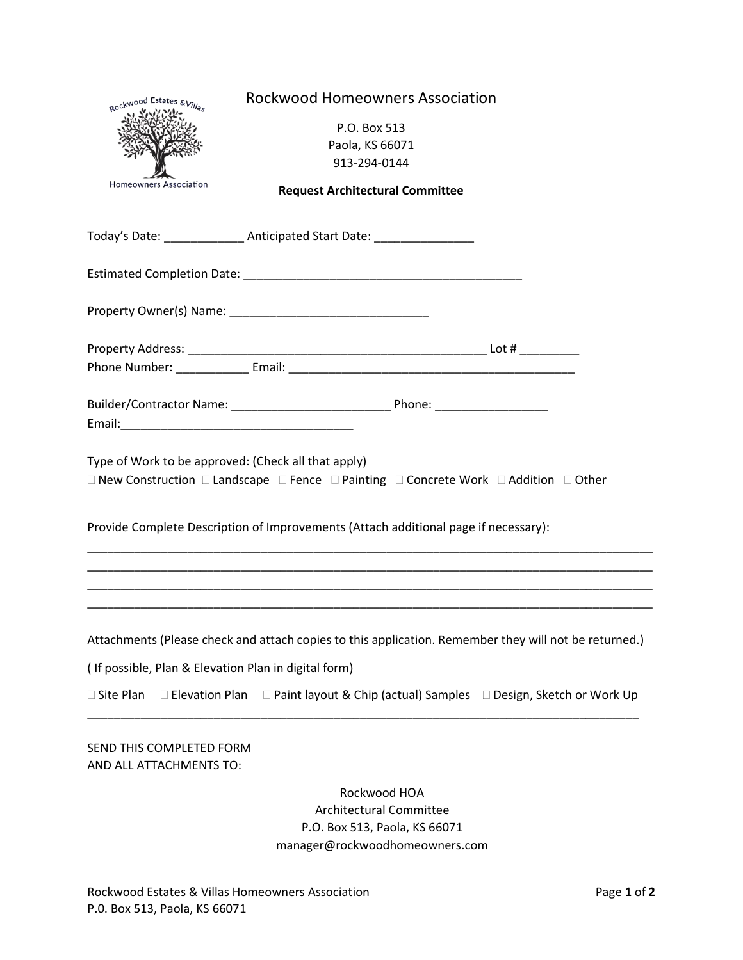| Rockwood Estates & Villas                            | <b>Rockwood Homeowners Association</b>                                                                |  |
|------------------------------------------------------|-------------------------------------------------------------------------------------------------------|--|
|                                                      | P.O. Box 513                                                                                          |  |
|                                                      | Paola, KS 66071                                                                                       |  |
|                                                      | 913-294-0144                                                                                          |  |
| Homeowners Association                               |                                                                                                       |  |
|                                                      | <b>Request Architectural Committee</b>                                                                |  |
|                                                      | Today's Date: __________________ Anticipated Start Date: _______________________                      |  |
|                                                      |                                                                                                       |  |
|                                                      |                                                                                                       |  |
|                                                      |                                                                                                       |  |
|                                                      |                                                                                                       |  |
|                                                      |                                                                                                       |  |
|                                                      |                                                                                                       |  |
| Type of Work to be approved: (Check all that apply)  |                                                                                                       |  |
|                                                      | □ New Construction □ Landscape □ Fence □ Painting □ Concrete Work □ Addition □ Other                  |  |
|                                                      |                                                                                                       |  |
|                                                      | Provide Complete Description of Improvements (Attach additional page if necessary):                   |  |
|                                                      |                                                                                                       |  |
|                                                      | Attachments (Please check and attach copies to this application. Remember they will not be returned.) |  |
| (If possible, Plan & Elevation Plan in digital form) |                                                                                                       |  |
| □ Elevation Plan<br>□ Site Plan                      | $\Box$ Paint layout & Chip (actual) Samples $\Box$ Design, Sketch or Work Up                          |  |
| SEND THIS COMPLETED FORM<br>AND ALL ATTACHMENTS TO:  |                                                                                                       |  |
|                                                      | Rockwood HOA                                                                                          |  |
|                                                      | <b>Architectural Committee</b>                                                                        |  |
|                                                      | P.O. Box 513, Paola, KS 66071                                                                         |  |

## manager@rockwoodhomeowners.com